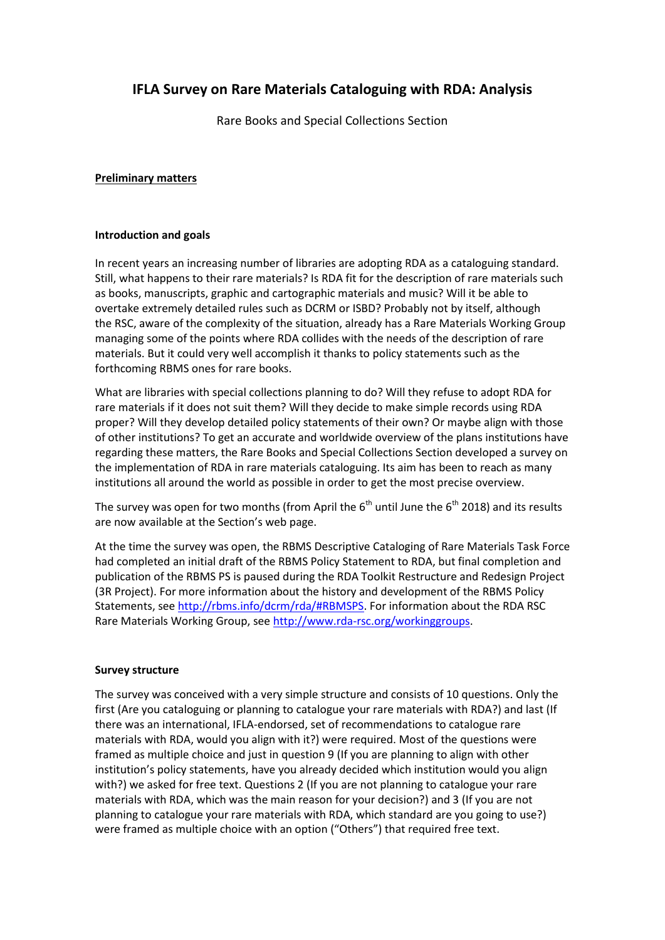# **IFLA Survey on Rare Materials Cataloguing with RDA: Analysis**

Rare Books and Special Collections Section

### **Preliminary matters**

#### **Introduction and goals**

In recent years an increasing number of libraries are adopting RDA as a cataloguing standard. Still, what happens to their rare materials? Is RDA fit for the description of rare materials such as books, manuscripts, graphic and cartographic materials and music? Will it be able to overtake extremely detailed rules such as DCRM or ISBD? Probably not by itself, although the RSC, aware of the complexity of the situation, already has a Rare Materials Working Group managing some of the points where RDA collides with the needs of the description of rare materials. But it could very well accomplish it thanks to policy statements such as the forthcoming RBMS ones for rare books.

What are libraries with special collections planning to do? Will they refuse to adopt RDA for rare materials if it does not suit them? Will they decide to make simple records using RDA proper? Will they develop detailed policy statements of their own? Or maybe align with those of other institutions? To get an accurate and worldwide overview of the plans institutions have regarding these matters, the Rare Books and Special Collections Section developed a survey on the implementation of RDA in rare materials cataloguing. Its aim has been to reach as many institutions all around the world as possible in order to get the most precise overview.

The survey was open for two months (from April the  $6<sup>th</sup>$  until June the  $6<sup>th</sup>$  2018) and its results are now available at the Section's web page.

At the time the survey was open, the RBMS Descriptive Cataloging of Rare Materials Task Force had completed an initial draft of the RBMS Policy Statement to RDA, but final completion and publication of the RBMS PS is paused during the RDA Toolkit Restructure and Redesign Project (3R Project). For more information about the history and development of the RBMS Policy Statements, see [http://rbms.info/dcrm/rda/#RBMSPS.](http://rbms.info/dcrm/rda/#RBMSPS) For information about the RDA RSC Rare Materials Working Group, se[e http://www.rda-rsc.org/workinggroups.](http://www.rda-rsc.org/workinggroups)

#### **Survey structure**

The survey was conceived with a very simple structure and consists of 10 questions. Only the first (Are you cataloguing or planning to catalogue your rare materials with RDA?) and last (If there was an international, IFLA-endorsed, set of recommendations to catalogue rare materials with RDA, would you align with it?) were required. Most of the questions were framed as multiple choice and just in question 9 (If you are planning to align with other institution's policy statements, have you already decided which institution would you align with?) we asked for free text. Questions 2 (If you are not planning to catalogue your rare materials with RDA, which was the main reason for your decision?) and 3 (If you are not planning to catalogue your rare materials with RDA, which standard are you going to use?) were framed as multiple choice with an option ("Others") that required free text.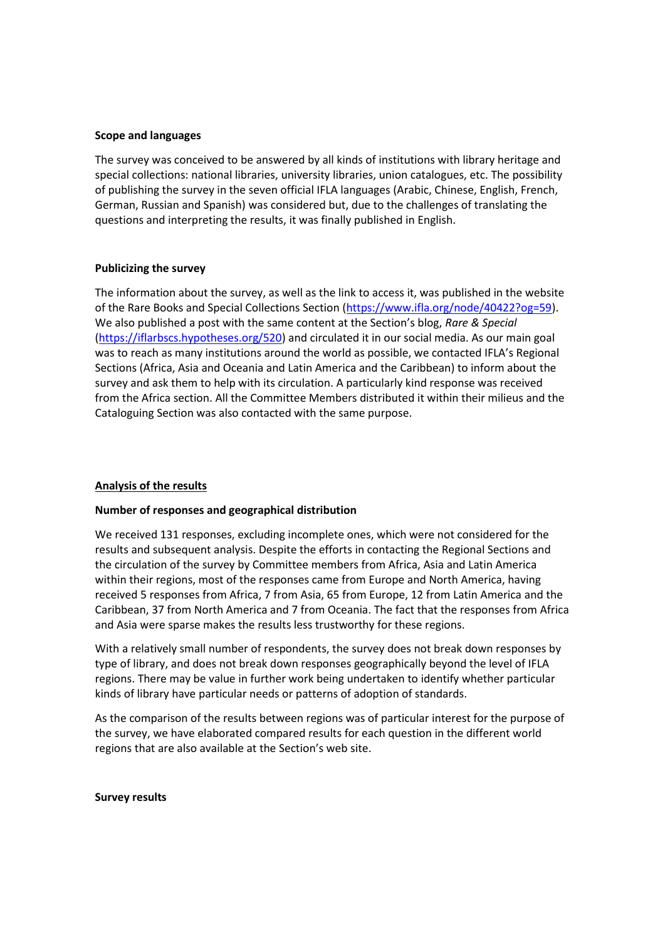#### **Scope and languages**

The survey was conceived to be answered by all kinds of institutions with library heritage and special collections: national libraries, university libraries, union catalogues, etc. The possibility of publishing the survey in the seven official IFLA languages (Arabic, Chinese, English, French, German, Russian and Spanish) was considered but, due to the challenges of translating the questions and interpreting the results, it was finally published in English.

#### **Publicizing the survey**

The information about the survey, as well as the link to access it, was published in the website of the Rare Books and Special Collections Section [\(https://www.ifla.org/node/40422?og=59\)](https://www.ifla.org/node/40422?og=59). We also published a post with the same content at the Section's blog, *Rare & Special* [\(https://iflarbscs.hypotheses.org/520\)](https://iflarbscs.hypotheses.org/520) and circulated it in our social media. As our main goal was to reach as many institutions around the world as possible, we contacted IFLA's Regional Sections (Africa, Asia and Oceania and Latin America and the Caribbean) to inform about the survey and ask them to help with its circulation. A particularly kind response was received from the Africa section. All the Committee Members distributed it within their milieus and the Cataloguing Section was also contacted with the same purpose.

#### **Analysis of the results**

#### **Number of responses and geographical distribution**

We received 131 responses, excluding incomplete ones, which were not considered for the results and subsequent analysis. Despite the efforts in contacting the Regional Sections and the circulation of the survey by Committee members from Africa, Asia and Latin America within their regions, most of the responses came from Europe and North America, having received 5 responses from Africa, 7 from Asia, 65 from Europe, 12 from Latin America and the Caribbean, 37 from North America and 7 from Oceania. The fact that the responses from Africa and Asia were sparse makes the results less trustworthy for these regions.

With a relatively small number of respondents, the survey does not break down responses by type of library, and does not break down responses geographically beyond the level of IFLA regions. There may be value in further work being undertaken to identify whether particular kinds of library have particular needs or patterns of adoption of standards.

As the comparison of the results between regions was of particular interest for the purpose of the survey, we have elaborated compared results for each question in the different world regions that are also available at the Section's web site.

**Survey results**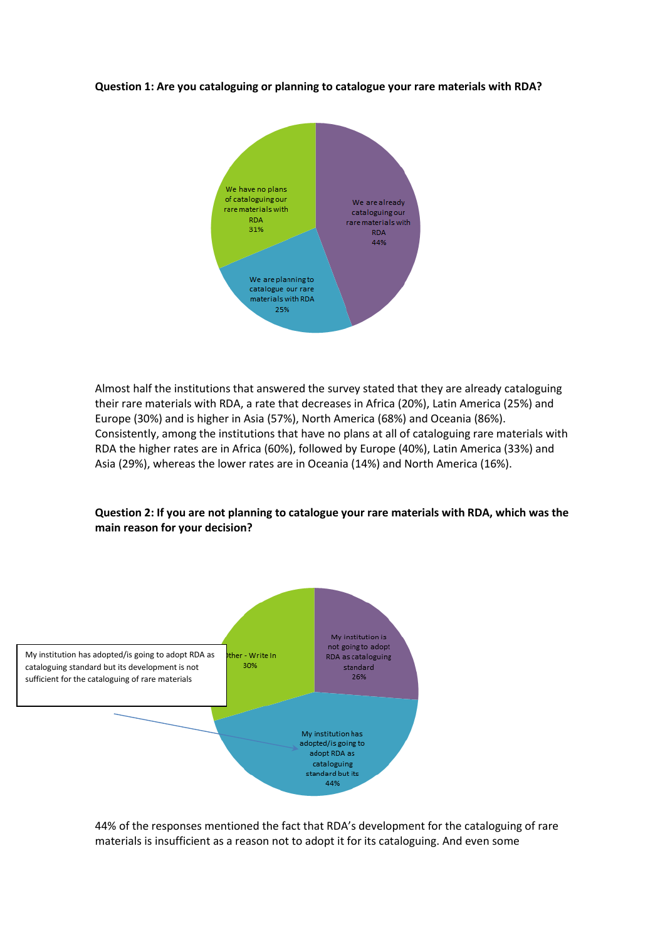#### **Question 1: Are you cataloguing or planning to catalogue your rare materials with RDA?**



Almost half the institutions that answered the survey stated that they are already cataloguing their rare materials with RDA, a rate that decreases in Africa (20%), Latin America (25%) and Europe (30%) and is higher in Asia (57%), North America (68%) and Oceania (86%). Consistently, among the institutions that have no plans at all of cataloguing rare materials with RDA the higher rates are in Africa (60%), followed by Europe (40%), Latin America (33%) and Asia (29%), whereas the lower rates are in Oceania (14%) and North America (16%).





44% of the responses mentioned the fact that RDA's development for the cataloguing of rare materials is insufficient as a reason not to adopt it for its cataloguing. And even some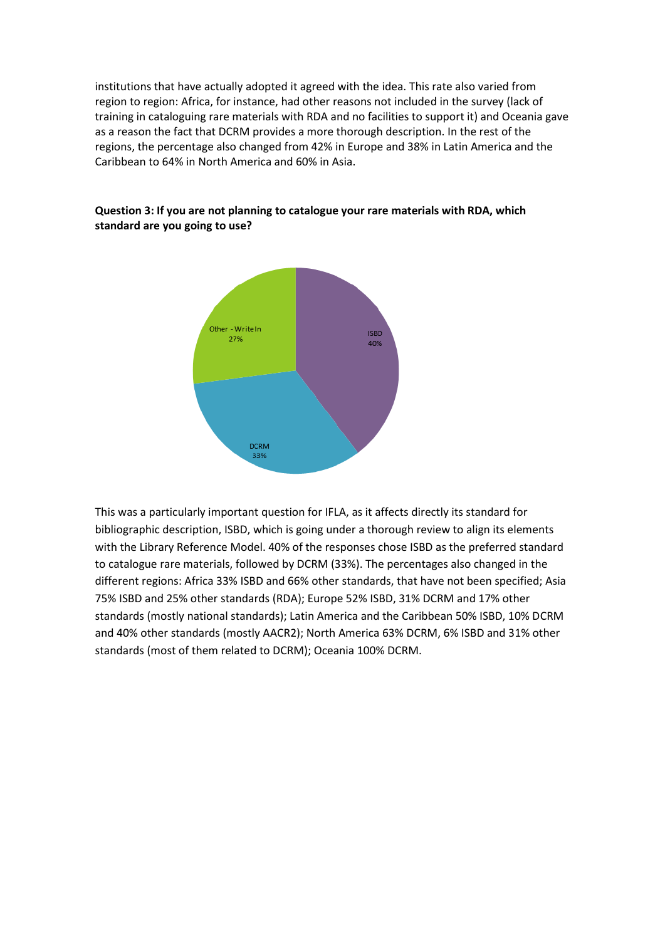institutions that have actually adopted it agreed with the idea. This rate also varied from region to region: Africa, for instance, had other reasons not included in the survey (lack of training in cataloguing rare materials with RDA and no facilities to support it) and Oceania gave as a reason the fact that DCRM provides a more thorough description. In the rest of the regions, the percentage also changed from 42% in Europe and 38% in Latin America and the Caribbean to 64% in North America and 60% in Asia.



## **Question 3: If you are not planning to catalogue your rare materials with RDA, which standard are you going to use?**

This was a particularly important question for IFLA, as it affects directly its standard for bibliographic description, ISBD, which is going under a thorough review to align its elements with the Library Reference Model. 40% of the responses chose ISBD as the preferred standard to catalogue rare materials, followed by DCRM (33%). The percentages also changed in the different regions: Africa 33% ISBD and 66% other standards, that have not been specified; Asia 75% ISBD and 25% other standards (RDA); Europe 52% ISBD, 31% DCRM and 17% other standards (mostly national standards); Latin America and the Caribbean 50% ISBD, 10% DCRM and 40% other standards (mostly AACR2); North America 63% DCRM, 6% ISBD and 31% other standards (most of them related to DCRM); Oceania 100% DCRM.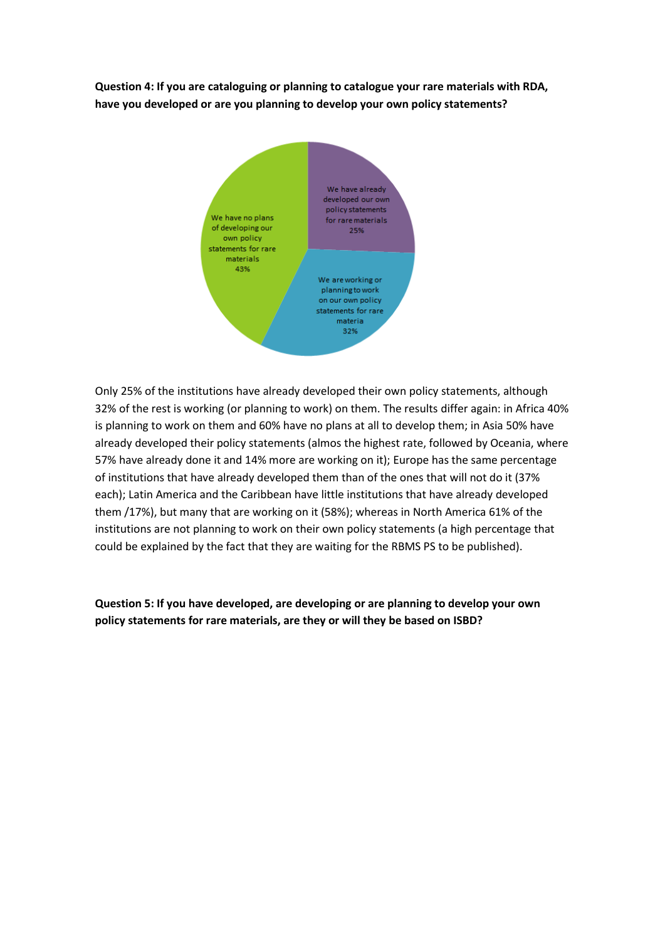**Question 4: If you are cataloguing or planning to catalogue your rare materials with RDA, have you developed or are you planning to develop your own policy statements?**



Only 25% of the institutions have already developed their own policy statements, although 32% of the rest is working (or planning to work) on them. The results differ again: in Africa 40% is planning to work on them and 60% have no plans at all to develop them; in Asia 50% have already developed their policy statements (almos the highest rate, followed by Oceania, where 57% have already done it and 14% more are working on it); Europe has the same percentage of institutions that have already developed them than of the ones that will not do it (37% each); Latin America and the Caribbean have little institutions that have already developed them /17%), but many that are working on it (58%); whereas in North America 61% of the institutions are not planning to work on their own policy statements (a high percentage that could be explained by the fact that they are waiting for the RBMS PS to be published).

**Question 5: If you have developed, are developing or are planning to develop your own policy statements for rare materials, are they or will they be based on ISBD?**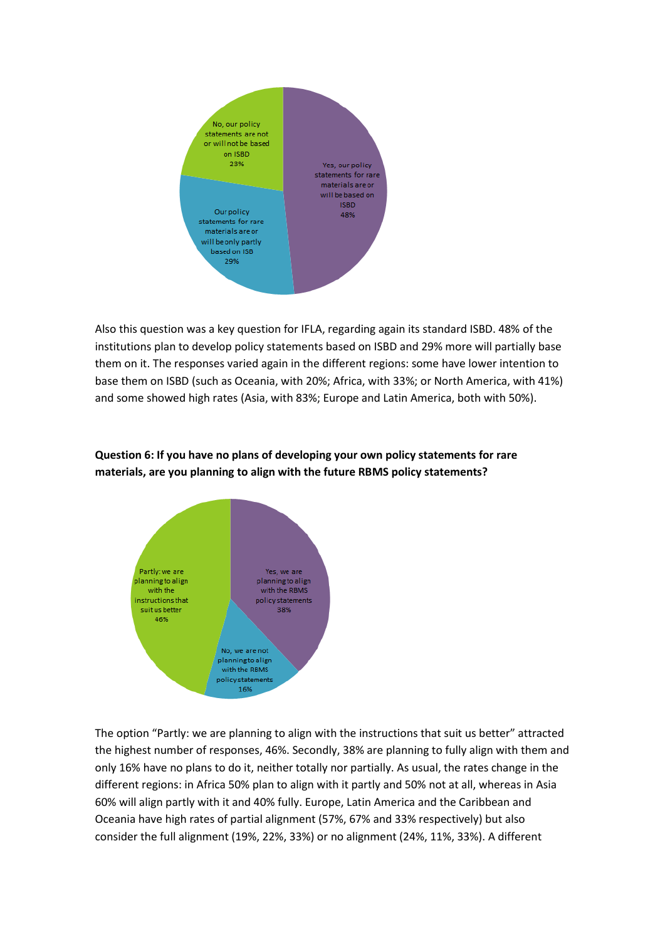

Also this question was a key question for IFLA, regarding again its standard ISBD. 48% of the institutions plan to develop policy statements based on ISBD and 29% more will partially base them on it. The responses varied again in the different regions: some have lower intention to base them on ISBD (such as Oceania, with 20%; Africa, with 33%; or North America, with 41%) and some showed high rates (Asia, with 83%; Europe and Latin America, both with 50%).

# **Question 6: If you have no plans of developing your own policy statements for rare materials, are you planning to align with the future RBMS policy statements?**



The option "Partly: we are planning to align with the instructions that suit us better" attracted the highest number of responses, 46%. Secondly, 38% are planning to fully align with them and only 16% have no plans to do it, neither totally nor partially. As usual, the rates change in the different regions: in Africa 50% plan to align with it partly and 50% not at all, whereas in Asia 60% will align partly with it and 40% fully. Europe, Latin America and the Caribbean and Oceania have high rates of partial alignment (57%, 67% and 33% respectively) but also consider the full alignment (19%, 22%, 33%) or no alignment (24%, 11%, 33%). A different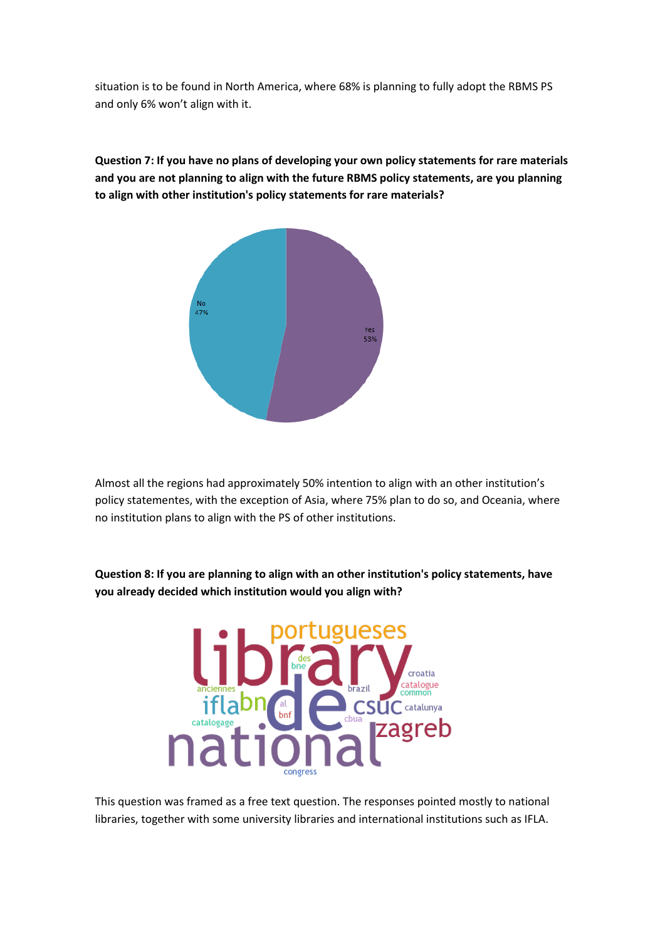situation is to be found in North America, where 68% is planning to fully adopt the RBMS PS and only 6% won't align with it.

> 47%  $Yes$ <br>53%

**Question 7: If you have no plans of developing your own policy statements for rare materials and you are not planning to align with the future RBMS policy statements, are you planning to align with other institution's policy statements for rare materials?**

Almost all the regions had approximately 50% intention to align with an other institution's policy statementes, with the exception of Asia, where 75% plan to do so, and Oceania, where no institution plans to align with the PS of other institutions.

**Question 8: If you are planning to align with an other institution's policy statements, have you already decided which institution would you align with?**



This question was framed as a free text question. The responses pointed mostly to national libraries, together with some university libraries and international institutions such as IFLA.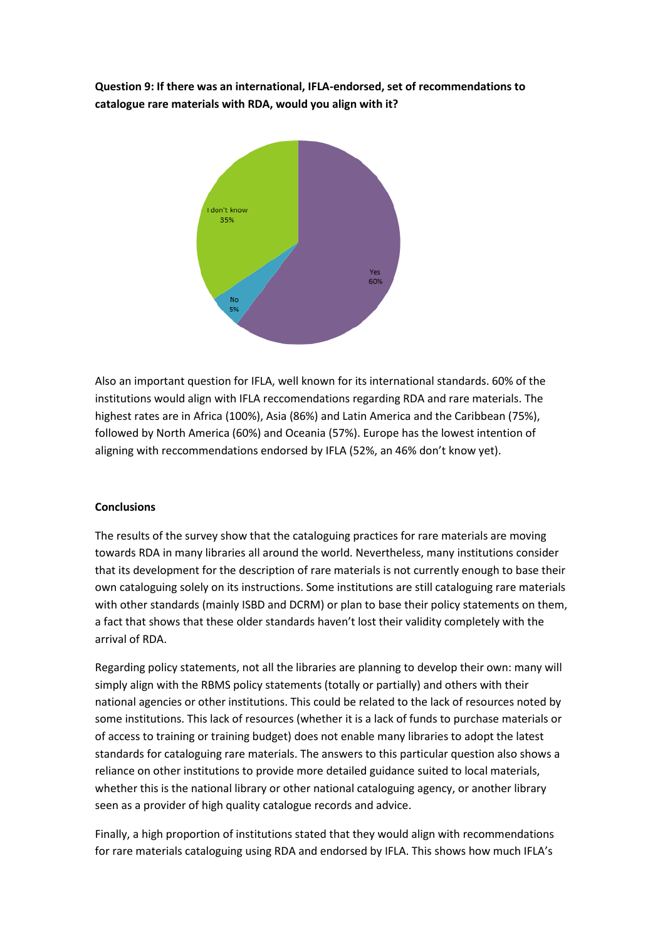**Question 9: If there was an international, IFLA-endorsed, set of recommendations to catalogue rare materials with RDA, would you align with it?**



Also an important question for IFLA, well known for its international standards. 60% of the institutions would align with IFLA reccomendations regarding RDA and rare materials. The highest rates are in Africa (100%), Asia (86%) and Latin America and the Caribbean (75%), followed by North America (60%) and Oceania (57%). Europe has the lowest intention of aligning with reccommendations endorsed by IFLA (52%, an 46% don't know yet).

#### **Conclusions**

The results of the survey show that the cataloguing practices for rare materials are moving towards RDA in many libraries all around the world. Nevertheless, many institutions consider that its development for the description of rare materials is not currently enough to base their own cataloguing solely on its instructions. Some institutions are still cataloguing rare materials with other standards (mainly ISBD and DCRM) or plan to base their policy statements on them, a fact that shows that these older standards haven't lost their validity completely with the arrival of RDA.

Regarding policy statements, not all the libraries are planning to develop their own: many will simply align with the RBMS policy statements (totally or partially) and others with their national agencies or other institutions. This could be related to the lack of resources noted by some institutions. This lack of resources (whether it is a lack of funds to purchase materials or of access to training or training budget) does not enable many libraries to adopt the latest standards for cataloguing rare materials. The answers to this particular question also shows a reliance on other institutions to provide more detailed guidance suited to local materials, whether this is the national library or other national cataloguing agency, or another library seen as a provider of high quality catalogue records and advice.

Finally, a high proportion of institutions stated that they would align with recommendations for rare materials cataloguing using RDA and endorsed by IFLA. This shows how much IFLA's